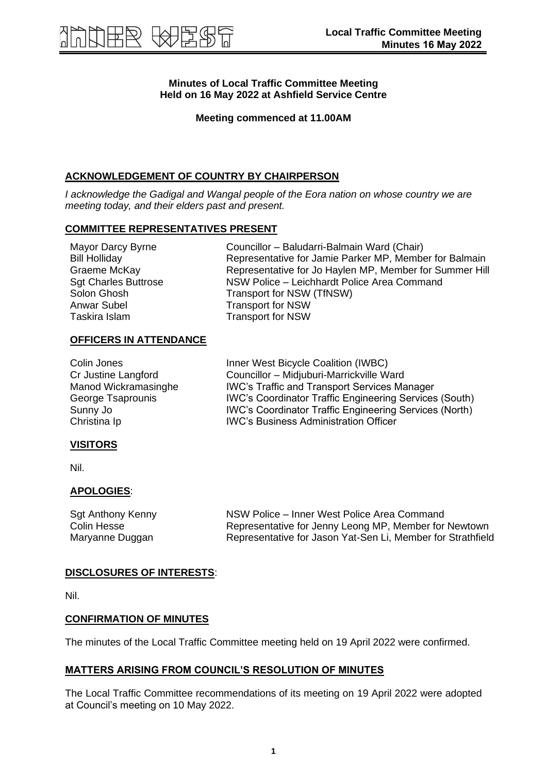# **Minutes of Local Traffic Committee Meeting Held on 16 May 2022 at Ashfield Service Centre**

**Meeting commenced at 11.00AM**

# **ACKNOWLEDGEMENT OF COUNTRY BY CHAIRPERSON**

*I acknowledge the Gadigal and Wangal people of the Eora nation on whose country we are meeting today, and their elders past and present.*

# **COMMITTEE REPRESENTATIVES PRESENT**

| Mayor Darcy Byrne           | Councillor - Baludarri-Balmain Ward (Chair)             |
|-----------------------------|---------------------------------------------------------|
| <b>Bill Holliday</b>        | Representative for Jamie Parker MP, Member for Balmain  |
| Graeme McKay                | Representative for Jo Haylen MP, Member for Summer Hill |
| <b>Sgt Charles Buttrose</b> | NSW Police - Leichhardt Police Area Command             |
| Solon Ghosh                 | Transport for NSW (TfNSW)                               |
| Anwar Subel                 | <b>Transport for NSW</b>                                |
| Taskira Islam               | <b>Transport for NSW</b>                                |
|                             |                                                         |

## **OFFICERS IN ATTENDANCE**

| Colin Jones          | Inner West Bicycle Coalition (IWBC)                           |
|----------------------|---------------------------------------------------------------|
| Cr Justine Langford  | Councillor - Midjuburi-Marrickville Ward                      |
| Manod Wickramasinghe | <b>IWC's Traffic and Transport Services Manager</b>           |
| George Tsaprounis    | <b>IWC's Coordinator Traffic Engineering Services (South)</b> |
| Sunny Jo             | <b>IWC's Coordinator Traffic Engineering Services (North)</b> |
| Christina Ip         | <b>IWC's Business Administration Officer</b>                  |

## **VISITORS**

Nil.

## **APOLOGIES**:

| Sgt Anthony Kenny | NSW Police – Inner West Police Area Command                 |
|-------------------|-------------------------------------------------------------|
| Colin Hesse       | Representative for Jenny Leong MP, Member for Newtown       |
| Maryanne Duggan   | Representative for Jason Yat-Sen Li, Member for Strathfield |

## **DISCLOSURES OF INTERESTS**:

Nil.

## **CONFIRMATION OF MINUTES**

The minutes of the Local Traffic Committee meeting held on 19 April 2022 were confirmed.

## **MATTERS ARISING FROM COUNCIL'S RESOLUTION OF MINUTES**

The Local Traffic Committee recommendations of its meeting on 19 April 2022 were adopted at Council's meeting on 10 May 2022.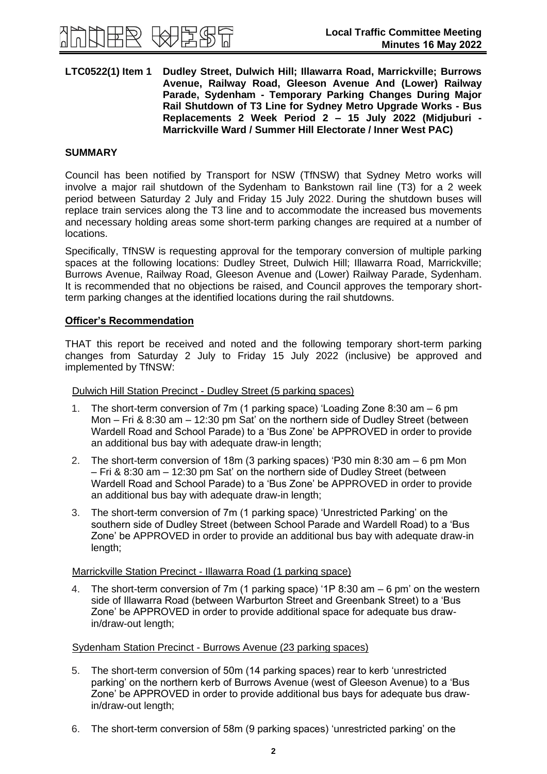

#### **LTC0522(1) Item 1 Dudley Street, Dulwich Hill; Illawarra Road, Marrickville; Burrows Avenue, Railway Road, Gleeson Avenue And (Lower) Railway Parade, Sydenham - Temporary Parking Changes During Major Rail Shutdown of T3 Line for Sydney Metro Upgrade Works - Bus Replacements 2 Week Period 2 – 15 July 2022 (Midjuburi - Marrickville Ward / Summer Hill Electorate / Inner West PAC)**

# **SUMMARY**

Council has been notified by Transport for NSW (TfNSW) that Sydney Metro works will involve a major rail shutdown of the Sydenham to Bankstown rail line (T3) for a 2 week period between Saturday 2 July and Friday 15 July 2022. During the shutdown buses will replace train services along the T3 line and to accommodate the increased bus movements and necessary holding areas some short-term parking changes are required at a number of locations.

Specifically, TfNSW is requesting approval for the temporary conversion of multiple parking spaces at the following locations: Dudley Street, Dulwich Hill; Illawarra Road, Marrickville; Burrows Avenue, Railway Road, Gleeson Avenue and (Lower) Railway Parade, Sydenham. It is recommended that no objections be raised, and Council approves the temporary shortterm parking changes at the identified locations during the rail shutdowns.

## **Officer's Recommendation**

THAT this report be received and noted and the following temporary short-term parking changes from Saturday 2 July to Friday 15 July 2022 (inclusive) be approved and implemented by TfNSW:

Dulwich Hill Station Precinct - Dudley Street (5 parking spaces)

- 1. The short-term conversion of 7m (1 parking space) 'Loading Zone 8:30 am 6 pm Mon – Fri & 8:30 am – 12:30 pm Sat' on the northern side of Dudley Street (between Wardell Road and School Parade) to a 'Bus Zone' be APPROVED in order to provide an additional bus bay with adequate draw-in length;
- 2. The short-term conversion of 18m (3 parking spaces) 'P30 min 8:30 am 6 pm Mon – Fri & 8:30 am – 12:30 pm Sat' on the northern side of Dudley Street (between Wardell Road and School Parade) to a 'Bus Zone' be APPROVED in order to provide an additional bus bay with adequate draw-in length;
- 3. The short-term conversion of 7m (1 parking space) 'Unrestricted Parking' on the southern side of Dudley Street (between School Parade and Wardell Road) to a 'Bus Zone' be APPROVED in order to provide an additional bus bay with adequate draw-in length;

Marrickville Station Precinct - Illawarra Road (1 parking space)

4. The short-term conversion of 7m (1 parking space) '1P 8:30 am – 6 pm' on the western side of Illawarra Road (between Warburton Street and Greenbank Street) to a 'Bus Zone' be APPROVED in order to provide additional space for adequate bus drawin/draw-out length;

Sydenham Station Precinct - Burrows Avenue (23 parking spaces)

- 5. The short-term conversion of 50m (14 parking spaces) rear to kerb 'unrestricted parking' on the northern kerb of Burrows Avenue (west of Gleeson Avenue) to a 'Bus Zone' be APPROVED in order to provide additional bus bays for adequate bus drawin/draw-out length;
- 6. The short-term conversion of 58m (9 parking spaces) 'unrestricted parking' on the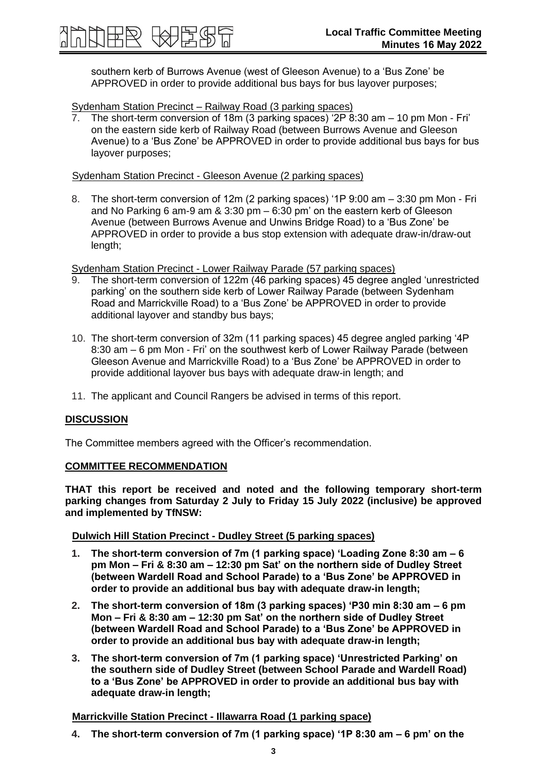southern kerb of Burrows Avenue (west of Gleeson Avenue) to a 'Bus Zone' be APPROVED in order to provide additional bus bays for bus layover purposes;

Sydenham Station Precinct – Railway Road (3 parking spaces)<br>7. The short-term conversion of 19m (3 million)

The short-term conversion of 18m (3 parking spaces) '2P 8:30 am  $-$  10 pm Mon - Fri' on the eastern side kerb of Railway Road (between Burrows Avenue and Gleeson Avenue) to a 'Bus Zone' be APPROVED in order to provide additional bus bays for bus layover purposes;

Sydenham Station Precinct - Gleeson Avenue (2 parking spaces)

8. The short-term conversion of 12m (2 parking spaces) '1P 9:00 am – 3:30 pm Mon - Fri and No Parking 6 am-9 am & 3:30 pm – 6:30 pm' on the eastern kerb of Gleeson Avenue (between Burrows Avenue and Unwins Bridge Road) to a 'Bus Zone' be APPROVED in order to provide a bus stop extension with adequate draw-in/draw-out length;

Sydenham Station Precinct - Lower Railway Parade (57 parking spaces)<br>9 The short-term conversion of 122m (46 parking spaces) 45 degree a

- 9. The short-term conversion of 122m (46 parking spaces) 45 degree angled 'unrestricted parking' on the southern side kerb of Lower Railway Parade (between Sydenham Road and Marrickville Road) to a 'Bus Zone' be APPROVED in order to provide additional layover and standby bus bays;
- 10. The short-term conversion of 32m (11 parking spaces) 45 degree angled parking '4P 8:30 am – 6 pm Mon - Fri' on the southwest kerb of Lower Railway Parade (between Gleeson Avenue and Marrickville Road) to a 'Bus Zone' be APPROVED in order to provide additional layover bus bays with adequate draw-in length; and
- 11. The applicant and Council Rangers be advised in terms of this report.

## **DISCUSSION**

The Committee members agreed with the Officer's recommendation.

## **COMMITTEE RECOMMENDATION**

**THAT this report be received and noted and the following temporary short-term parking changes from Saturday 2 July to Friday 15 July 2022 (inclusive) be approved and implemented by TfNSW:**

## **Dulwich Hill Station Precinct - Dudley Street (5 parking spaces)**

- **1. The short-term conversion of 7m (1 parking space) 'Loading Zone 8:30 am – 6 pm Mon – Fri & 8:30 am – 12:30 pm Sat' on the northern side of Dudley Street (between Wardell Road and School Parade) to a 'Bus Zone' be APPROVED in order to provide an additional bus bay with adequate draw-in length;**
- **2. The short-term conversion of 18m (3 parking spaces) 'P30 min 8:30 am – 6 pm Mon – Fri & 8:30 am – 12:30 pm Sat' on the northern side of Dudley Street (between Wardell Road and School Parade) to a 'Bus Zone' be APPROVED in order to provide an additional bus bay with adequate draw-in length;**
- **3. The short-term conversion of 7m (1 parking space) 'Unrestricted Parking' on the southern side of Dudley Street (between School Parade and Wardell Road) to a 'Bus Zone' be APPROVED in order to provide an additional bus bay with adequate draw-in length;**

## **Marrickville Station Precinct - Illawarra Road (1 parking space)**

**4. The short-term conversion of 7m (1 parking space) '1P 8:30 am – 6 pm' on the**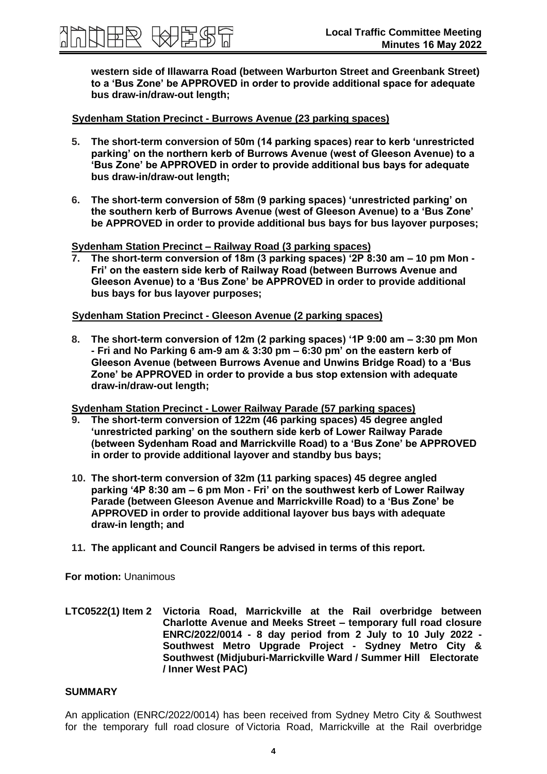**western side of Illawarra Road (between Warburton Street and Greenbank Street) to a 'Bus Zone' be APPROVED in order to provide additional space for adequate bus draw-in/draw-out length;**

## **Sydenham Station Precinct - Burrows Avenue (23 parking spaces)**

|英國 任将 医心理

- **5. The short-term conversion of 50m (14 parking spaces) rear to kerb 'unrestricted parking' on the northern kerb of Burrows Avenue (west of Gleeson Avenue) to a 'Bus Zone' be APPROVED in order to provide additional bus bays for adequate bus draw-in/draw-out length;**
- **6. The short-term conversion of 58m (9 parking spaces) 'unrestricted parking' on the southern kerb of Burrows Avenue (west of Gleeson Avenue) to a 'Bus Zone' be APPROVED in order to provide additional bus bays for bus layover purposes;**

#### **Sydenham Station Precinct – Railway Road (3 parking spaces)**

**7. The short-term conversion of 18m (3 parking spaces) '2P 8:30 am – 10 pm Mon - Fri' on the eastern side kerb of Railway Road (between Burrows Avenue and Gleeson Avenue) to a 'Bus Zone' be APPROVED in order to provide additional bus bays for bus layover purposes;** 

# **Sydenham Station Precinct - Gleeson Avenue (2 parking spaces)**

**8. The short-term conversion of 12m (2 parking spaces) '1P 9:00 am – 3:30 pm Mon - Fri and No Parking 6 am-9 am & 3:30 pm – 6:30 pm' on the eastern kerb of Gleeson Avenue (between Burrows Avenue and Unwins Bridge Road) to a 'Bus Zone' be APPROVED in order to provide a bus stop extension with adequate draw-in/draw-out length;**

**Sydenham Station Precinct - Lower Railway Parade (57 parking spaces)**

- **9. The short-term conversion of 122m (46 parking spaces) 45 degree angled 'unrestricted parking' on the southern side kerb of Lower Railway Parade (between Sydenham Road and Marrickville Road) to a 'Bus Zone' be APPROVED in order to provide additional layover and standby bus bays;**
- **10. The short-term conversion of 32m (11 parking spaces) 45 degree angled parking '4P 8:30 am – 6 pm Mon - Fri' on the southwest kerb of Lower Railway Parade (between Gleeson Avenue and Marrickville Road) to a 'Bus Zone' be APPROVED in order to provide additional layover bus bays with adequate draw-in length; and**
- **11. The applicant and Council Rangers be advised in terms of this report.**

**For motion:** Unanimous

**LTC0522(1) Item 2 Victoria Road, Marrickville at the Rail overbridge between Charlotte Avenue and Meeks Street – temporary full road closure ENRC/2022/0014 - 8 day period from 2 July to 10 July 2022 - Southwest Metro Upgrade Project - Sydney Metro City & Southwest (Midjuburi-Marrickville Ward / Summer Hill Electorate / Inner West PAC)**

#### **SUMMARY**

An application (ENRC/2022/0014) has been received from Sydney Metro City & Southwest for the temporary full road closure of Victoria Road, Marrickville at the Rail overbridge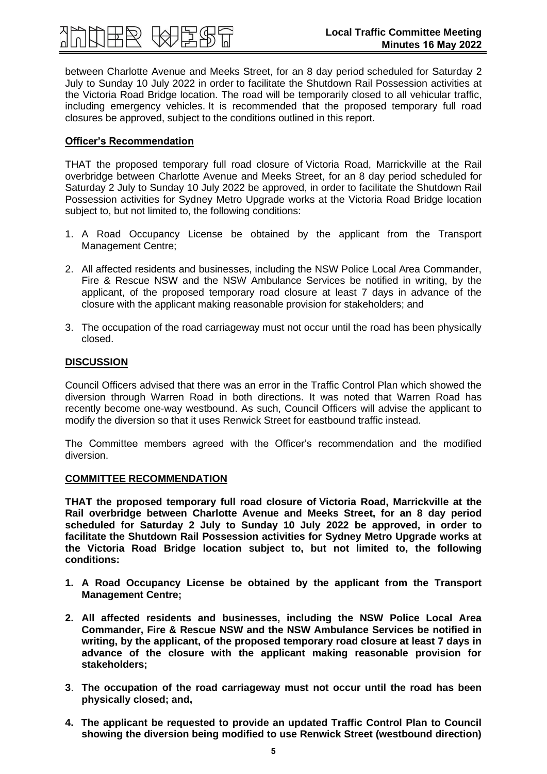between Charlotte Avenue and Meeks Street, for an 8 day period scheduled for Saturday 2 July to Sunday 10 July 2022 in order to facilitate the Shutdown Rail Possession activities at the Victoria Road Bridge location. The road will be temporarily closed to all vehicular traffic, including emergency vehicles. It is recommended that the proposed temporary full road closures be approved, subject to the conditions outlined in this report.

# **Officer's Recommendation**

THAT the proposed temporary full road closure of Victoria Road, Marrickville at the Rail overbridge between Charlotte Avenue and Meeks Street, for an 8 day period scheduled for Saturday 2 July to Sunday 10 July 2022 be approved, in order to facilitate the Shutdown Rail Possession activities for Sydney Metro Upgrade works at the Victoria Road Bridge location subject to, but not limited to, the following conditions:

- 1. A Road Occupancy License be obtained by the applicant from the Transport Management Centre;
- 2. All affected residents and businesses, including the NSW Police Local Area Commander, Fire & Rescue NSW and the NSW Ambulance Services be notified in writing, by the applicant, of the proposed temporary road closure at least 7 days in advance of the closure with the applicant making reasonable provision for stakeholders; and
- 3. The occupation of the road carriageway must not occur until the road has been physically closed.

## **DISCUSSION**

Council Officers advised that there was an error in the Traffic Control Plan which showed the diversion through Warren Road in both directions. It was noted that Warren Road has recently become one-way westbound. As such, Council Officers will advise the applicant to modify the diversion so that it uses Renwick Street for eastbound traffic instead.

The Committee members agreed with the Officer's recommendation and the modified diversion.

## **COMMITTEE RECOMMENDATION**

**THAT the proposed temporary full road closure of Victoria Road, Marrickville at the Rail overbridge between Charlotte Avenue and Meeks Street, for an 8 day period scheduled for Saturday 2 July to Sunday 10 July 2022 be approved, in order to facilitate the Shutdown Rail Possession activities for Sydney Metro Upgrade works at the Victoria Road Bridge location subject to, but not limited to, the following conditions:**

- **1. A Road Occupancy License be obtained by the applicant from the Transport Management Centre;**
- **2. All affected residents and businesses, including the NSW Police Local Area Commander, Fire & Rescue NSW and the NSW Ambulance Services be notified in writing, by the applicant, of the proposed temporary road closure at least 7 days in advance of the closure with the applicant making reasonable provision for stakeholders;**
- **3**. **The occupation of the road carriageway must not occur until the road has been physically closed; and,**
- **4. The applicant be requested to provide an updated Traffic Control Plan to Council showing the diversion being modified to use Renwick Street (westbound direction)**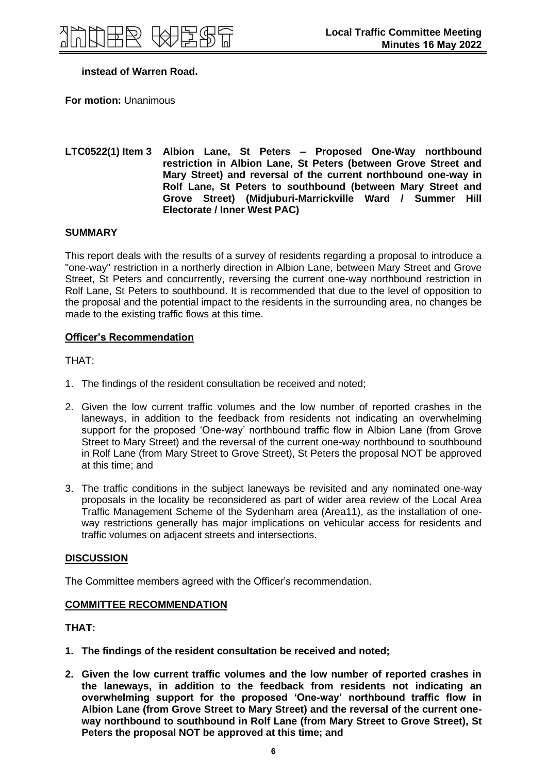## **instead of Warren Road.**

**For motion:** Unanimous

#### **LTC0522(1) Item 3 Albion Lane, St Peters – Proposed One-Way northbound restriction in Albion Lane, St Peters (between Grove Street and Mary Street) and reversal of the current northbound one-way in Rolf Lane, St Peters to southbound (between Mary Street and Grove Street) (Midjuburi-Marrickville Ward / Summer Hill Electorate / Inner West PAC)**

#### **SUMMARY**

This report deals with the results of a survey of residents regarding a proposal to introduce a "one-way" restriction in a northerly direction in Albion Lane, between Mary Street and Grove Street, St Peters and concurrently, reversing the current one-way northbound restriction in Rolf Lane, St Peters to southbound. It is recommended that due to the level of opposition to the proposal and the potential impact to the residents in the surrounding area, no changes be made to the existing traffic flows at this time.

## **Officer's Recommendation**

THAT:

- 1. The findings of the resident consultation be received and noted;
- 2. Given the low current traffic volumes and the low number of reported crashes in the laneways, in addition to the feedback from residents not indicating an overwhelming support for the proposed 'One-way' northbound traffic flow in Albion Lane (from Grove Street to Mary Street) and the reversal of the current one-way northbound to southbound in Rolf Lane (from Mary Street to Grove Street), St Peters the proposal NOT be approved at this time; and
- 3. The traffic conditions in the subject laneways be revisited and any nominated one-way proposals in the locality be reconsidered as part of wider area review of the Local Area Traffic Management Scheme of the Sydenham area (Area11), as the installation of oneway restrictions generally has major implications on vehicular access for residents and traffic volumes on adjacent streets and intersections.

#### **DISCUSSION**

The Committee members agreed with the Officer's recommendation.

## **COMMITTEE RECOMMENDATION**

**THAT:**

- **1. The findings of the resident consultation be received and noted;**
- **2. Given the low current traffic volumes and the low number of reported crashes in the laneways, in addition to the feedback from residents not indicating an overwhelming support for the proposed 'One-way' northbound traffic flow in Albion Lane (from Grove Street to Mary Street) and the reversal of the current oneway northbound to southbound in Rolf Lane (from Mary Street to Grove Street), St Peters the proposal NOT be approved at this time; and**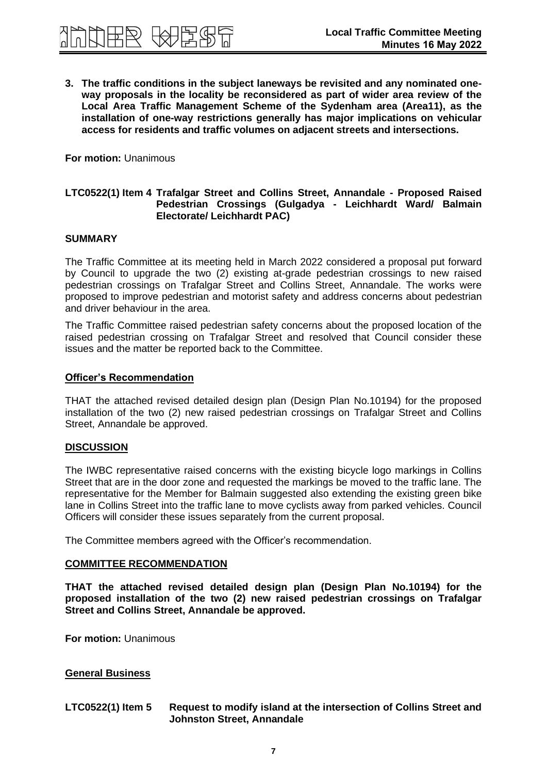

**3. The traffic conditions in the subject laneways be revisited and any nominated oneway proposals in the locality be reconsidered as part of wider area review of the Local Area Traffic Management Scheme of the Sydenham area (Area11), as the installation of one-way restrictions generally has major implications on vehicular access for residents and traffic volumes on adjacent streets and intersections.**

**For motion:** Unanimous

#### **LTC0522(1) Item 4 Trafalgar Street and Collins Street, Annandale - Proposed Raised Pedestrian Crossings (Gulgadya - Leichhardt Ward/ Balmain Electorate/ Leichhardt PAC)**

#### **SUMMARY**

The Traffic Committee at its meeting held in March 2022 considered a proposal put forward by Council to upgrade the two (2) existing at-grade pedestrian crossings to new raised pedestrian crossings on Trafalgar Street and Collins Street, Annandale. The works were proposed to improve pedestrian and motorist safety and address concerns about pedestrian and driver behaviour in the area.

The Traffic Committee raised pedestrian safety concerns about the proposed location of the raised pedestrian crossing on Trafalgar Street and resolved that Council consider these issues and the matter be reported back to the Committee.

#### **Officer's Recommendation**

THAT the attached revised detailed design plan (Design Plan No.10194) for the proposed installation of the two (2) new raised pedestrian crossings on Trafalgar Street and Collins Street, Annandale be approved.

#### **DISCUSSION**

The IWBC representative raised concerns with the existing bicycle logo markings in Collins Street that are in the door zone and requested the markings be moved to the traffic lane. The representative for the Member for Balmain suggested also extending the existing green bike lane in Collins Street into the traffic lane to move cyclists away from parked vehicles. Council Officers will consider these issues separately from the current proposal.

The Committee members agreed with the Officer's recommendation.

## **COMMITTEE RECOMMENDATION**

**THAT the attached revised detailed design plan (Design Plan No.10194) for the proposed installation of the two (2) new raised pedestrian crossings on Trafalgar Street and Collins Street, Annandale be approved.** 

**For motion:** Unanimous

## **General Business**

#### **LTC0522(1) Item 5 Request to modify island at the intersection of Collins Street and Johnston Street, Annandale**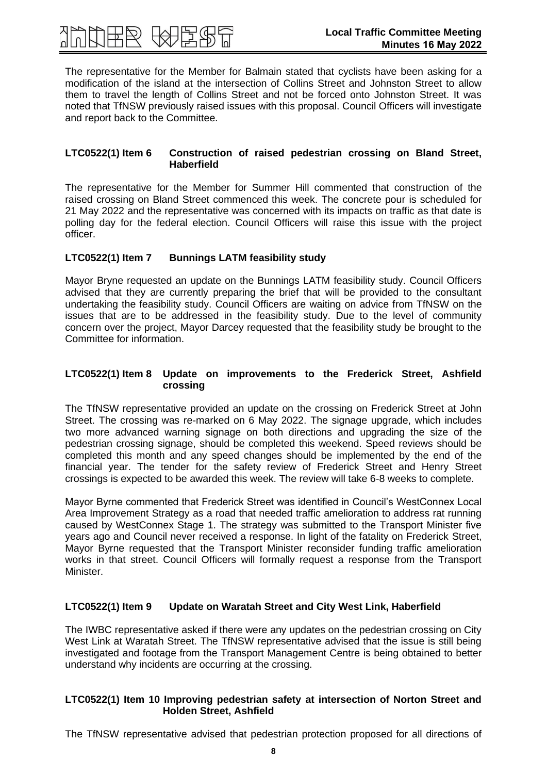

The representative for the Member for Balmain stated that cyclists have been asking for a modification of the island at the intersection of Collins Street and Johnston Street to allow them to travel the length of Collins Street and not be forced onto Johnston Street. It was noted that TfNSW previously raised issues with this proposal. Council Officers will investigate and report back to the Committee.

#### **LTC0522(1) Item 6 Construction of raised pedestrian crossing on Bland Street, Haberfield**

The representative for the Member for Summer Hill commented that construction of the raised crossing on Bland Street commenced this week. The concrete pour is scheduled for 21 May 2022 and the representative was concerned with its impacts on traffic as that date is polling day for the federal election. Council Officers will raise this issue with the project officer.

## **LTC0522(1) Item 7 Bunnings LATM feasibility study**

Mayor Bryne requested an update on the Bunnings LATM feasibility study. Council Officers advised that they are currently preparing the brief that will be provided to the consultant undertaking the feasibility study. Council Officers are waiting on advice from TfNSW on the issues that are to be addressed in the feasibility study. Due to the level of community concern over the project, Mayor Darcey requested that the feasibility study be brought to the Committee for information.

## **LTC0522(1) Item 8 Update on improvements to the Frederick Street, Ashfield crossing**

The TfNSW representative provided an update on the crossing on Frederick Street at John Street. The crossing was re-marked on 6 May 2022. The signage upgrade, which includes two more advanced warning signage on both directions and upgrading the size of the pedestrian crossing signage, should be completed this weekend. Speed reviews should be completed this month and any speed changes should be implemented by the end of the financial year. The tender for the safety review of Frederick Street and Henry Street crossings is expected to be awarded this week. The review will take 6-8 weeks to complete.

Mayor Byrne commented that Frederick Street was identified in Council's WestConnex Local Area Improvement Strategy as a road that needed traffic amelioration to address rat running caused by WestConnex Stage 1. The strategy was submitted to the Transport Minister five years ago and Council never received a response. In light of the fatality on Frederick Street, Mayor Byrne requested that the Transport Minister reconsider funding traffic amelioration works in that street. Council Officers will formally request a response from the Transport Minister.

## **LTC0522(1) Item 9 Update on Waratah Street and City West Link, Haberfield**

The IWBC representative asked if there were any updates on the pedestrian crossing on City West Link at Waratah Street. The TfNSW representative advised that the issue is still being investigated and footage from the Transport Management Centre is being obtained to better understand why incidents are occurring at the crossing.

#### **LTC0522(1) Item 10 Improving pedestrian safety at intersection of Norton Street and Holden Street, Ashfield**

The TfNSW representative advised that pedestrian protection proposed for all directions of